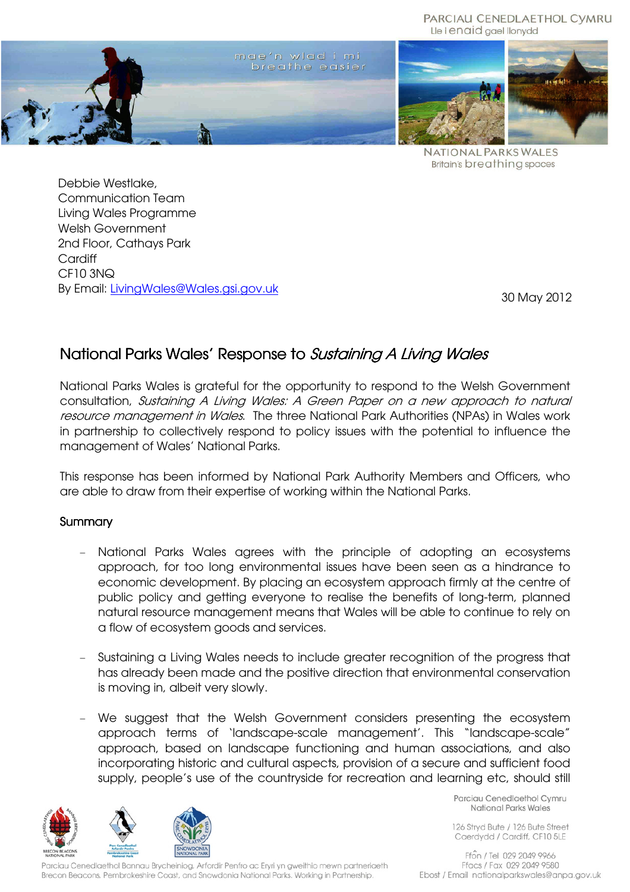PARCIAU CENEDLAETHOL CYMRU Lle i enaid gael llonydd



**NATIONAL PARKS WALES Britain's breathing spaces** 

Debbie Westlake, Communication Team Living Wales Programme Welsh Government 2nd Floor, Cathays Park **Cardiff** CF10 3NQ By Email: LivingWales@Wales.gsi.gov.uk

30 May 2012

## National Parks Wales' Response to Sustaining A Living Wales

National Parks Wales is grateful for the opportunity to respond to the Welsh Government consultation, Sustaining A Living Wales: A Green Paper on a new approach to natural resource management in Wales. The three National Park Authorities (NPAs) in Wales work in partnership to collectively respond to policy issues with the potential to influence the management of Wales' National Parks.

This response has been informed by National Park Authority Members and Officers, who are able to draw from their expertise of working within the National Parks.

## **Summary**

- National Parks Wales agrees with the principle of adopting an ecosystems approach, for too long environmental issues have been seen as a hindrance to economic development. By placing an ecosystem approach firmly at the centre of public policy and getting everyone to realise the benefits of long-term, planned natural resource management means that Wales will be able to continue to rely on a flow of ecosystem goods and services.
- Sustaining a Living Wales needs to include greater recognition of the progress that has already been made and the positive direction that environmental conservation is moving in, albeit very slowly.
- We suggest that the Welsh Government considers presenting the ecosystem approach terms of 'landscape-scale management'. This "landscape-scale" approach, based on landscape functioning and human associations, and also incorporating historic and cultural aspects, provision of a secure and sufficient food supply, people's use of the countryside for recreation and learning etc, should still



Parciau Cenedlaethol Bannau Brycheiniog, Arfordir Penfro ac Eryri yn gweithio mewn partneriaeth Brecon Beacons, Pembrokeshire Coast, and Snowdonia National Parks. Working in Partnership.

Parciau Cenedlaethol Cymru National Parks Wales

126 Stryd Bute / 126 Bute Street Caerdydd / Cardiff, CF10 5LE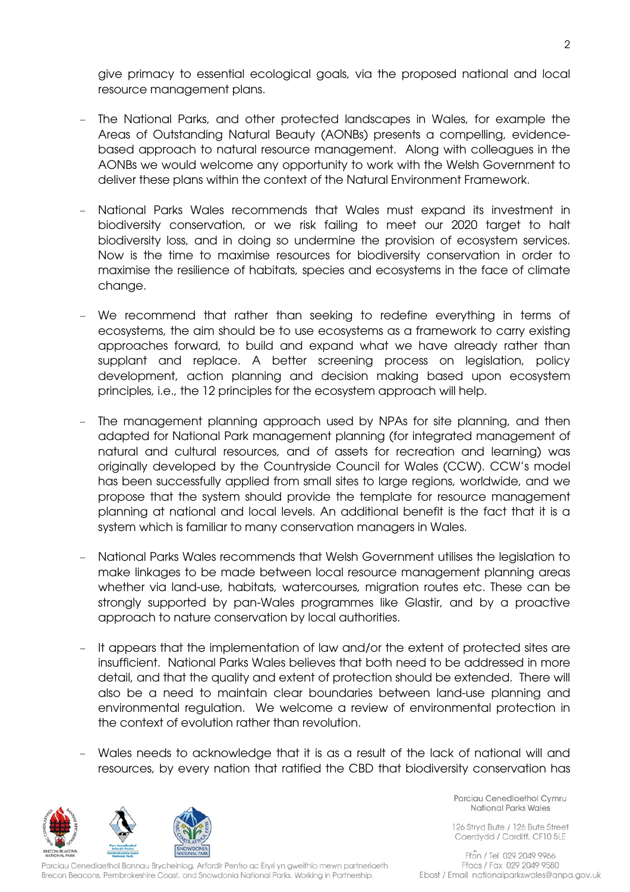give primacy to essential ecological goals, via the proposed national and local resource management plans.

- The National Parks, and other protected landscapes in Wales, for example the Areas of Outstanding Natural Beauty (AONBs) presents a compelling, evidencebased approach to natural resource management. Along with colleagues in the AONBs we would welcome any opportunity to work with the Welsh Government to deliver these plans within the context of the Natural Environment Framework.
- National Parks Wales recommends that Wales must expand its investment in biodiversity conservation, or we risk failing to meet our 2020 target to halt biodiversity loss, and in doing so undermine the provision of ecosystem services. Now is the time to maximise resources for biodiversity conservation in order to maximise the resilience of habitats, species and ecosystems in the face of climate change.
- We recommend that rather than seeking to redefine everything in terms of ecosystems, the aim should be to use ecosystems as a framework to carry existing approaches forward, to build and expand what we have already rather than supplant and replace. A better screening process on legislation, policy development, action planning and decision making based upon ecosystem principles, i.e., the 12 principles for the ecosystem approach will help.
- The management planning approach used by NPAs for site planning, and then adapted for National Park management planning (for integrated management of natural and cultural resources, and of assets for recreation and learning) was originally developed by the Countryside Council for Wales (CCW). CCW's model has been successfully applied from small sites to large regions, worldwide, and we propose that the system should provide the template for resource management planning at national and local levels. An additional benefit is the fact that it is a system which is familiar to many conservation managers in Wales.
- National Parks Wales recommends that Welsh Government utilises the legislation to make linkages to be made between local resource management planning areas whether via land-use, habitats, watercourses, migration routes etc. These can be strongly supported by pan-Wales programmes like Glastir, and by a proactive approach to nature conservation by local authorities.
- It appears that the implementation of law and/or the extent of protected sites are insufficient. National Parks Wales believes that both need to be addressed in more detail, and that the quality and extent of protection should be extended. There will also be a need to maintain clear boundaries between land-use planning and environmental regulation. We welcome a review of environmental protection in the context of evolution rather than revolution.
- Wales needs to acknowledge that it is as a result of the lack of national will and resources, by every nation that ratified the CBD that biodiversity conservation has



Parciau Cenedlaethol Bannau Brycheiniog, Arfordir Penfro ac Eryri yn gweithio mewn partneriaeth Brecon Beacons, Pembrokeshire Coast, and Snowdonia National Parks. Working in Partnership.

Parciau Cenedlaethol Cymru National Parks Wales

126 Stryd Bute / 126 Bute Street Caerdydd / Cardiff, CF10 5LE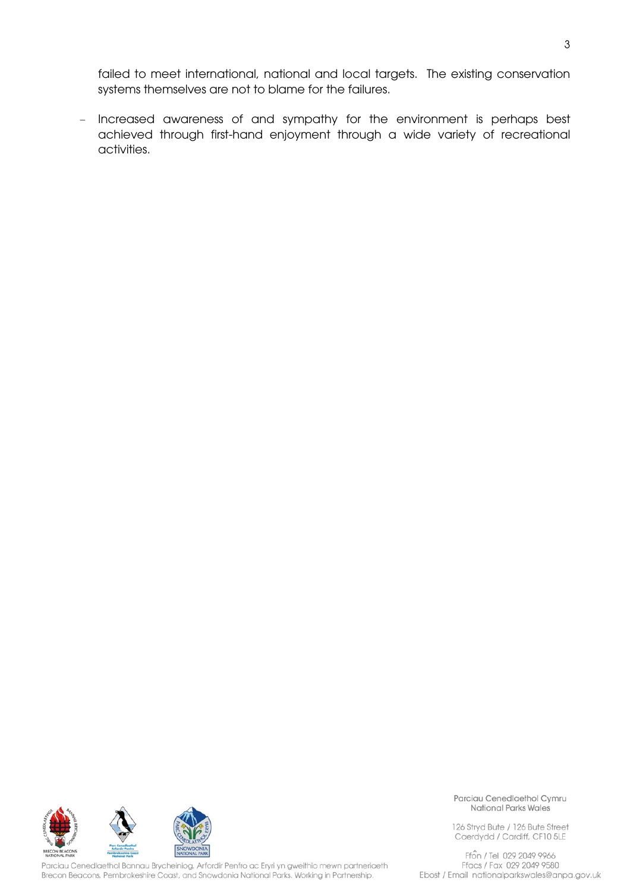failed to meet international, national and local targets. The existing conservation systems themselves are not to blame for the failures.

- Increased awareness of and sympathy for the environment is perhaps best achieved through first-hand enjoyment through a wide variety of recreational activities.



Parciau Cenedlaethol Bannau Brycheiniog, Arfordir Penfro ac Eryri yn gweithio mewn partneriaeth Brecon Beacons, Pembrokeshire Coast, and Snowdonia National Parks. Working in Partnership.

Parciau Cenedlaethol Cymru **National Parks Wales** 

126 Stryd Bute / 126 Bute Street Caerdydd / Cardiff, CF10 5LE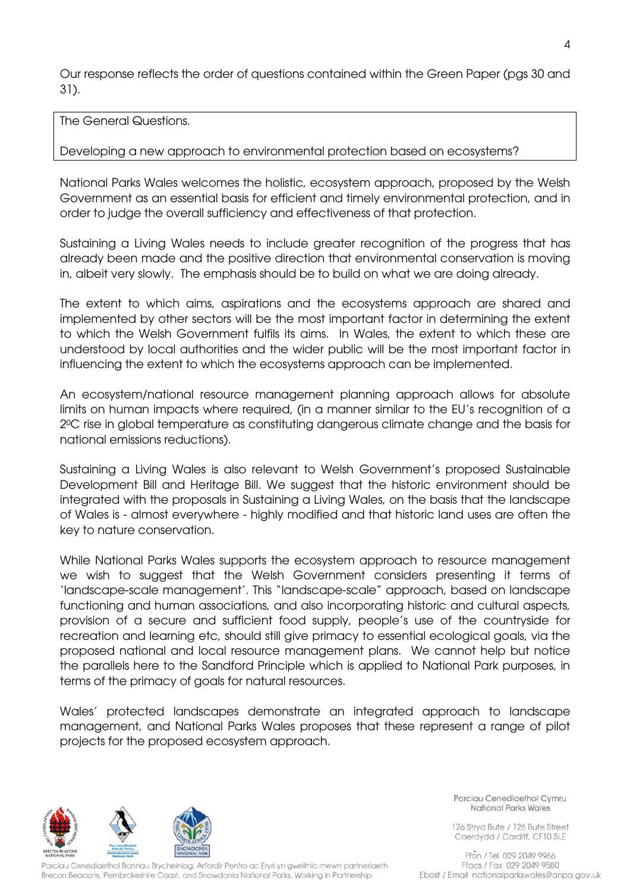Our response reflects the order of questions contained within the Green Paper (pgs 30 and 31).

The General Questions.

## Developing a new approach to environmental protection based on ecosystems?

National Parks Wales welcomes the holistic, ecosystem approach, proposed by the Welsh Government as an essential basis for efficient and timely environmental protection, and in order to judge the overall sufficiency and effectiveness of that protection.

Sustaining a Living Wales needs to include greater recognition of the progress that has already been made and the positive direction that environmental conservation is moving in, albeit very slowly. The emphasis should be to build on what we are doing already.

The extent to which aims, aspirations and the ecosystems approach are shared and implemented by other sectors will be the most important factor in determining the extent to which the Welsh Government fulfils its aims. In Wales, the extent to which these are understood by local authorities and the wider public will be the most important factor in influencing the extent to which the ecosystems approach can be implemented.

An ecosystem/national resource management planning approach allows for absolute limits on human impacts where required, (in a manner similar to the EU's recognition of a 20C rise in global temperature as constituting dangerous climate change and the basis for national emissions reductions).

Sustaining a Living Wales is also relevant to Welsh Government's proposed Sustainable Development Bill and Heritage Bill. We suggest that the historic environment should be integrated with the proposals in Sustaining a Living Wales, on the basis that the landscape of Wales is - almost everywhere - highly modified and that historic land uses are often the key to nature conservation.

While National Parks Wales supports the ecosystem approach to resource management we wish to suggest that the Welsh Government considers presenting it terms of 'landscape-scale management'. This "landscape-scale" approach, based on landscape functioning and human associations, and also incorporating historic and cultural aspects, provision of a secure and sufficient food supply, people's use of the countryside for recreation and learning etc, should still give primacy to essential ecological goals, via the proposed national and local resource management plans. We cannot help but notice the parallels here to the Sandford Principle which is applied to National Park purposes, in terms of the primacy of goals for natural resources.

Wales' protected landscapes demonstrate an integrated approach to landscape management, and National Parks Wales proposes that these represent a range of pilot projects for the proposed ecosystem approach.



Parciau Cenedlaethol Bannau Brycheiniog, Arfordir Penfro ac Eryri yn gweithio mewn partneriaeth Brecon Beacons, Pembrokeshire Coast, and Snowdonia National Parks. Working in Partnership.

Parciau Cenedlaethol Cymru National Parks Wales

126 Stryd Bute / 126 Bute Street Caerdydd / Cardiff, CF10 5LE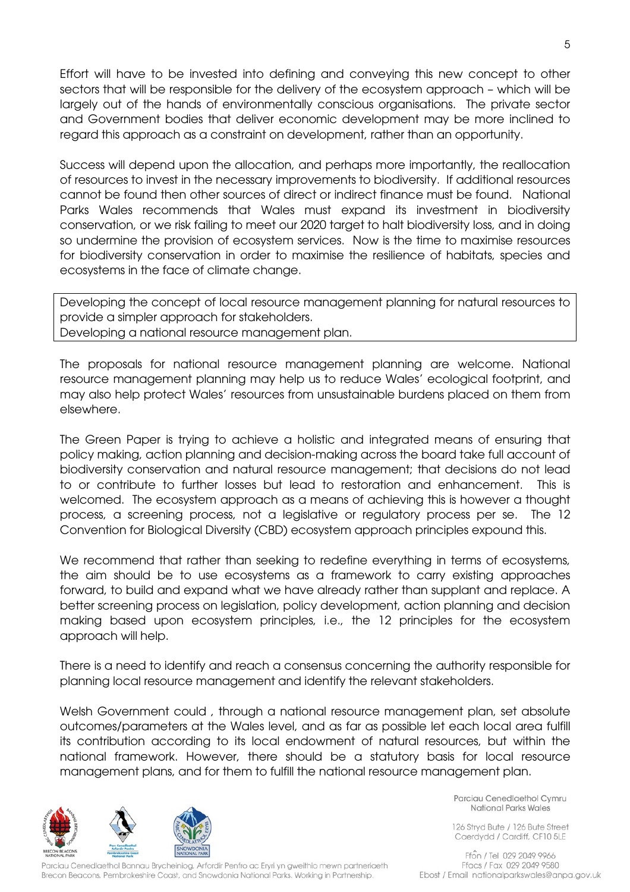Effort will have to be invested into defining and conveying this new concept to other sectors that will be responsible for the delivery of the ecosystem approach – which will be largely out of the hands of environmentally conscious organisations. The private sector and Government bodies that deliver economic development may be more inclined to regard this approach as a constraint on development, rather than an opportunity.

Success will depend upon the allocation, and perhaps more importantly, the reallocation of resources to invest in the necessary improvements to biodiversity. If additional resources cannot be found then other sources of direct or indirect finance must be found. National Parks Wales recommends that Wales must expand its investment in biodiversity conservation, or we risk failing to meet our 2020 target to halt biodiversity loss, and in doing so undermine the provision of ecosystem services. Now is the time to maximise resources for biodiversity conservation in order to maximise the resilience of habitats, species and ecosystems in the face of climate change.

Developing the concept of local resource management planning for natural resources to provide a simpler approach for stakeholders. Developing a national resource management plan.

The proposals for national resource management planning are welcome. National resource management planning may help us to reduce Wales' ecological footprint, and may also help protect Wales' resources from unsustainable burdens placed on them from elsewhere.

The Green Paper is trying to achieve a holistic and integrated means of ensuring that policy making, action planning and decision-making across the board take full account of biodiversity conservation and natural resource management; that decisions do not lead to or contribute to further losses but lead to restoration and enhancement. This is welcomed. The ecosystem approach as a means of achieving this is however a thought process, a screening process, not a legislative or regulatory process per se. The 12 Convention for Biological Diversity (CBD) ecosystem approach principles expound this.

We recommend that rather than seeking to redefine everything in terms of ecosystems, the aim should be to use ecosystems as a framework to carry existing approaches forward, to build and expand what we have already rather than supplant and replace. A better screening process on legislation, policy development, action planning and decision making based upon ecosystem principles, i.e., the 12 principles for the ecosystem approach will help.

There is a need to identify and reach a consensus concerning the authority responsible for planning local resource management and identify the relevant stakeholders.

Welsh Government could , through a national resource management plan, set absolute outcomes/parameters at the Wales level, and as far as possible let each local area fulfill its contribution according to its local endowment of natural resources, but within the national framework. However, there should be a statutory basis for local resource management plans, and for them to fulfill the national resource management plan.



Parciau Cenedlaethol Bannau Brycheiniog, Arfordir Penfro ac Eryri yn gweithio mewn partneriaeth Brecon Beacons, Pembrokeshire Coast, and Snowdonia National Parks. Working in Partnership.

Parciau Cenedlaethol Cymru National Parks Wales

126 Stryd Bute / 126 Bute Street Caerdydd / Cardiff, CF10 5LE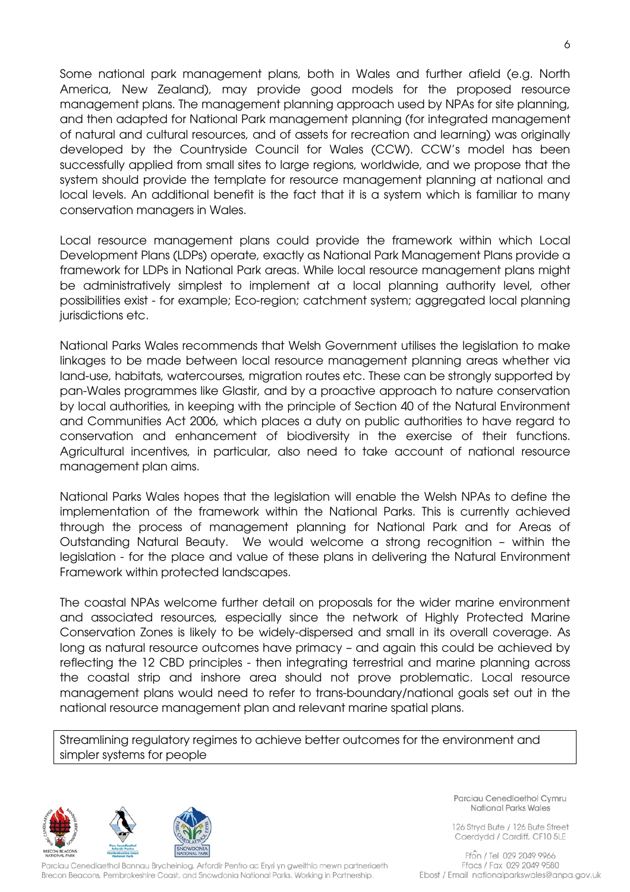Some national park management plans, both in Wales and further afield (e.g. North America, New Zealand), may provide good models for the proposed resource management plans. The management planning approach used by NPAs for site planning, and then adapted for National Park management planning (for integrated management of natural and cultural resources, and of assets for recreation and learning) was originally developed by the Countryside Council for Wales (CCW). CCW's model has been successfully applied from small sites to large regions, worldwide, and we propose that the system should provide the template for resource management planning at national and local levels. An additional benefit is the fact that it is a system which is familiar to many conservation managers in Wales.

Local resource management plans could provide the framework within which Local Development Plans (LDPs) operate, exactly as National Park Management Plans provide a framework for LDPs in National Park areas. While local resource management plans might be administratively simplest to implement at a local planning authority level, other possibilities exist - for example; Eco-region; catchment system; aggregated local planning jurisdictions etc.

National Parks Wales recommends that Welsh Government utilises the legislation to make linkages to be made between local resource management planning areas whether via land-use, habitats, watercourses, migration routes etc. These can be strongly supported by pan-Wales programmes like Glastir, and by a proactive approach to nature conservation by local authorities, in keeping with the principle of Section 40 of the Natural Environment and Communities Act 2006, which places a duty on public authorities to have regard to conservation and enhancement of biodiversity in the exercise of their functions. Agricultural incentives, in particular, also need to take account of national resource management plan aims.

National Parks Wales hopes that the legislation will enable the Welsh NPAs to define the implementation of the framework within the National Parks. This is currently achieved through the process of management planning for National Park and for Areas of Outstanding Natural Beauty. We would welcome a strong recognition – within the legislation - for the place and value of these plans in delivering the Natural Environment Framework within protected landscapes.

The coastal NPAs welcome further detail on proposals for the wider marine environment and associated resources, especially since the network of Highly Protected Marine Conservation Zones is likely to be widely-dispersed and small in its overall coverage. As long as natural resource outcomes have primacy – and again this could be achieved by reflecting the 12 CBD principles - then integrating terrestrial and marine planning across the coastal strip and inshore area should not prove problematic. Local resource management plans would need to refer to trans-boundary/national goals set out in the national resource management plan and relevant marine spatial plans.

Streamlining regulatory regimes to achieve better outcomes for the environment and simpler systems for people



Parciau Cenedlaethol Bannau Brycheiniog, Arfordir Penfro ac Eryri yn gweithio mewn partneriaeth Brecon Beacons, Pembrokeshire Coast, and Snowdonia National Parks. Working in Partnership.

Parciau Cenedlaethol Cymru National Parks Wales

126 Stryd Bute / 126 Bute Street Caerdydd / Cardiff, CF10 5LE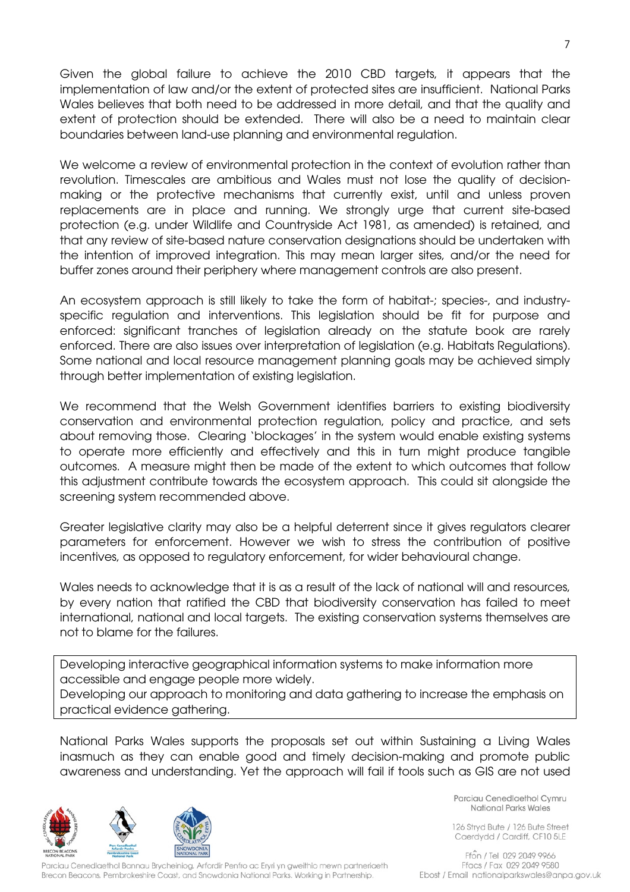Given the global failure to achieve the 2010 CBD targets, it appears that the implementation of law and/or the extent of protected sites are insufficient. National Parks Wales believes that both need to be addressed in more detail, and that the quality and extent of protection should be extended. There will also be a need to maintain clear boundaries between land-use planning and environmental regulation.

We welcome a review of environmental protection in the context of evolution rather than revolution. Timescales are ambitious and Wales must not lose the quality of decisionmaking or the protective mechanisms that currently exist, until and unless proven replacements are in place and running. We strongly urge that current site-based protection (e.g. under Wildlife and Countryside Act 1981, as amended) is retained, and that any review of site-based nature conservation designations should be undertaken with the intention of improved integration. This may mean larger sites, and/or the need for buffer zones around their periphery where management controls are also present.

An ecosystem approach is still likely to take the form of habitat-; species-, and industryspecific regulation and interventions. This legislation should be fit for purpose and enforced: significant tranches of legislation already on the statute book are rarely enforced. There are also issues over interpretation of legislation (e.g. Habitats Regulations). Some national and local resource management planning goals may be achieved simply through better implementation of existing legislation.

We recommend that the Welsh Government identifies barriers to existing biodiversity conservation and environmental protection regulation, policy and practice, and sets about removing those. Clearing 'blockages' in the system would enable existing systems to operate more efficiently and effectively and this in turn might produce tangible outcomes. A measure might then be made of the extent to which outcomes that follow this adjustment contribute towards the ecosystem approach. This could sit alongside the screening system recommended above.

Greater legislative clarity may also be a helpful deterrent since it gives regulators clearer parameters for enforcement. However we wish to stress the contribution of positive incentives, as opposed to regulatory enforcement, for wider behavioural change.

Wales needs to acknowledge that it is as a result of the lack of national will and resources, by every nation that ratified the CBD that biodiversity conservation has failed to meet international, national and local targets. The existing conservation systems themselves are not to blame for the failures.

Developing interactive geographical information systems to make information more accessible and engage people more widely.

Developing our approach to monitoring and data gathering to increase the emphasis on practical evidence gathering.

National Parks Wales supports the proposals set out within Sustaining a Living Wales inasmuch as they can enable good and timely decision-making and promote public awareness and understanding. Yet the approach will fail if tools such as GIS are not used



Parciau Cenedlaethol Cymru National Parks Wales

126 Stryd Bute / 126 Bute Street Caerdydd / Cardiff, CF10 5LE

Parciau Cenedlaethol Bannau Brycheiniog, Arfordir Penfro ac Eryri yn gweithio mewn partneriaeth Brecon Beacons, Pembrokeshire Coast, and Snowdonia National Parks. Working in Partnership.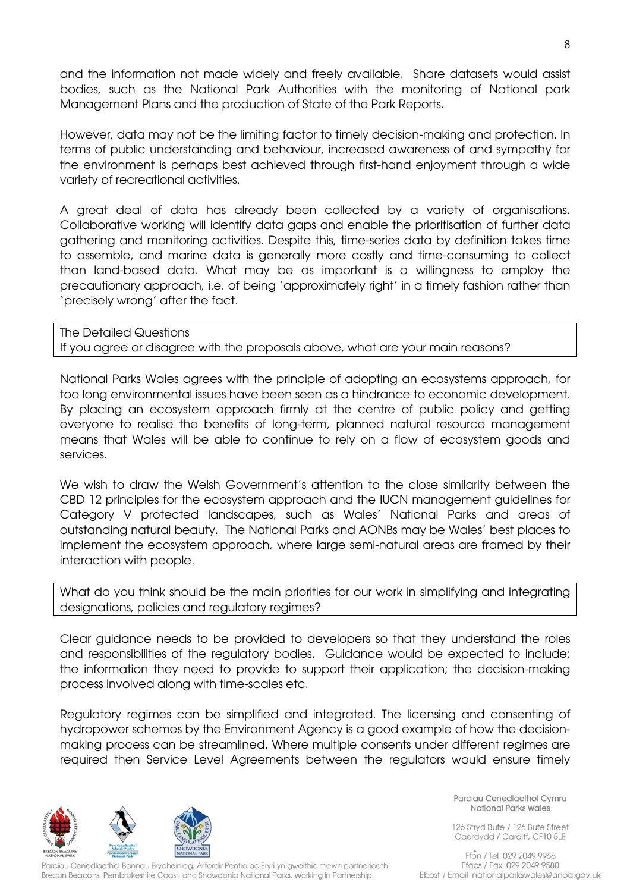and the information not made widely and freely available. Share datasets would assist bodies, such as the National Park Authorities with the monitoring of National park Management Plans and the production of State of the Park Reports.

However, data may not be the limiting factor to timely decision-making and protection. In terms of public understanding and behaviour, increased awareness of and sympathy for the environment is perhaps best achieved through first-hand enjoyment through a wide variety of recreational activities.

A great deal of data has already been collected by a variety of organisations. Collaborative working will identify data gaps and enable the prioritisation of further data gathering and monitoring activities. Despite this, time-series data by definition takes time to assemble, and marine data is generally more costly and time-consuming to collect than land-based data. What may be as important is a willingness to employ the precautionary approach, i.e. of being 'approximately right' in a timely fashion rather than 'precisely wrong' after the fact.

The Detailed Questions If you agree or disagree with the proposals above, what are your main reasons?

National Parks Wales agrees with the principle of adopting an ecosystems approach, for too long environmental issues have been seen as a hindrance to economic development. By placing an ecosystem approach firmly at the centre of public policy and getting everyone to realise the benefits of long-term, planned natural resource management means that Wales will be able to continue to rely on a flow of ecosystem goods and services.

We wish to draw the Welsh Government's attention to the close similarity between the CBD 12 principles for the ecosystem approach and the IUCN management guidelines for Category V protected landscapes, such as Wales' National Parks and areas of outstanding natural beauty. The National Parks and AONBs may be Wales' best places to implement the ecosystem approach, where large semi-natural areas are framed by their interaction with people.

What do you think should be the main priorities for our work in simplifying and integrating designations, policies and regulatory regimes?

Clear guidance needs to be provided to developers so that they understand the roles and responsibilities of the regulatory bodies. Guidance would be expected to include; the information they need to provide to support their application; the decision-making process involved along with time-scales etc.

Regulatory regimes can be simplified and integrated. The licensing and consenting of hydropower schemes by the Environment Agency is a good example of how the decisionmaking process can be streamlined. Where multiple consents under different regimes are required then Service Level Agreements between the regulators would ensure timely



Parciau Cenedlaethol Bannau Brycheiniog, Arfordir Penfro ac Eryri yn gweithio mewn partneriaeth Brecon Beacons, Pembrokeshire Coast, and Snowdonia National Parks. Working in Partnership.

Parciau Cenedlaethol Cymru National Parks Wales

126 Stryd Bute / 126 Bute Street Caerdydd / Cardiff, CF10 5LE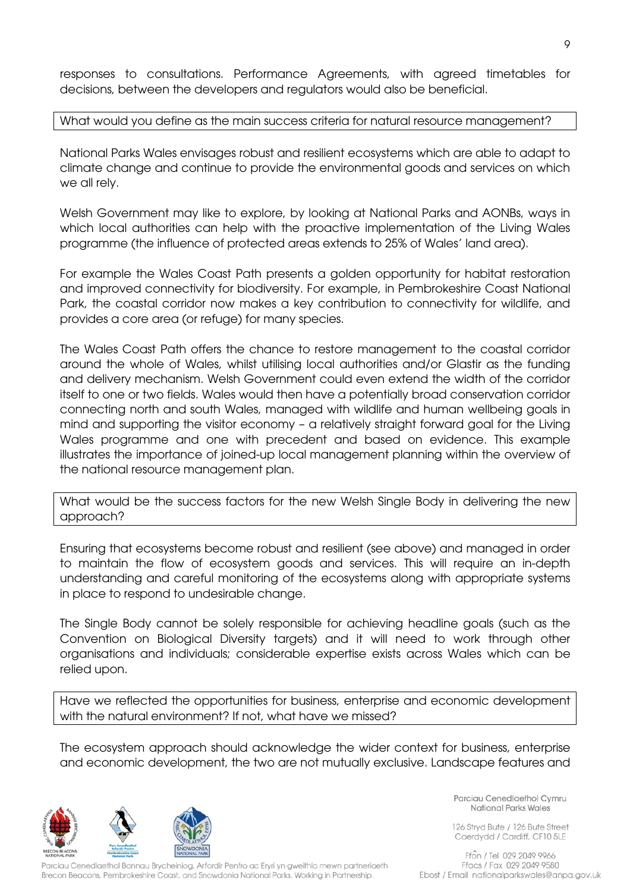responses to consultations. Performance Agreements, with agreed timetables for decisions, between the developers and regulators would also be beneficial.

## What would you define as the main success criteria for natural resource management?

National Parks Wales envisages robust and resilient ecosystems which are able to adapt to climate change and continue to provide the environmental goods and services on which we all rely.

Welsh Government may like to explore, by looking at National Parks and AONBs, ways in which local authorities can help with the proactive implementation of the Living Wales programme (the influence of protected areas extends to 25% of Wales' land area).

For example the Wales Coast Path presents a golden opportunity for habitat restoration and improved connectivity for biodiversity. For example, in Pembrokeshire Coast National Park, the coastal corridor now makes a key contribution to connectivity for wildlife, and provides a core area (or refuge) for many species.

The Wales Coast Path offers the chance to restore management to the coastal corridor around the whole of Wales, whilst utilising local authorities and/or Glastir as the funding and delivery mechanism. Welsh Government could even extend the width of the corridor itself to one or two fields. Wales would then have a potentially broad conservation corridor connecting north and south Wales, managed with wildlife and human wellbeing goals in mind and supporting the visitor economy – a relatively straight forward goal for the Living Wales programme and one with precedent and based on evidence. This example illustrates the importance of joined-up local management planning within the overview of the national resource management plan.

What would be the success factors for the new Welsh Single Body in delivering the new approach?

Ensuring that ecosystems become robust and resilient (see above) and managed in order to maintain the flow of ecosystem goods and services. This will require an in-depth understanding and careful monitoring of the ecosystems along with appropriate systems in place to respond to undesirable change.

The Single Body cannot be solely responsible for achieving headline goals (such as the Convention on Biological Diversity targets) and it will need to work through other organisations and individuals; considerable expertise exists across Wales which can be relied upon.

Have we reflected the opportunities for business, enterprise and economic development with the natural environment? If not, what have we missed?

The ecosystem approach should acknowledge the wider context for business, enterprise and economic development, the two are not mutually exclusive. Landscape features and



Parciau Cenedlaethol Bannau Brycheiniog, Arfordir Penfro ac Eryri yn gweithio mewn partneriaeth Brecon Beacons, Pembrokeshire Coast, and Snowdonia National Parks. Working in Partnership.

Parciau Cenedlaethol Cymru National Parks Wales

126 Stryd Bute / 126 Bute Street Caerdydd / Cardiff, CF10 5LE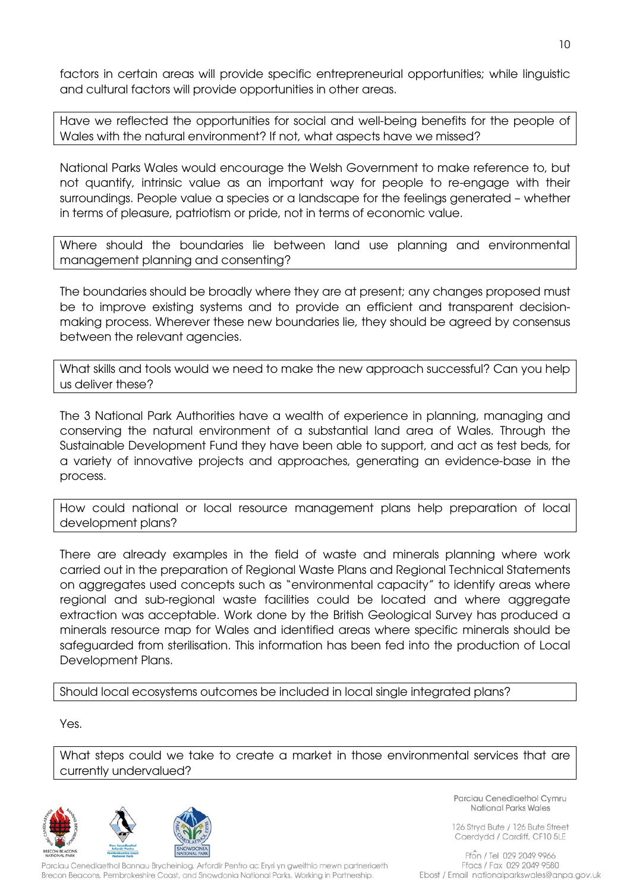factors in certain areas will provide specific entrepreneurial opportunities; while linguistic and cultural factors will provide opportunities in other areas.

Have we reflected the opportunities for social and well-being benefits for the people of Wales with the natural environment? If not, what aspects have we missed?

National Parks Wales would encourage the Welsh Government to make reference to, but not quantify, intrinsic value as an important way for people to re-engage with their surroundings. People value a species or a landscape for the feelings generated – whether in terms of pleasure, patriotism or pride, not in terms of economic value.

Where should the boundaries lie between land use planning and environmental management planning and consenting?

The boundaries should be broadly where they are at present; any changes proposed must be to improve existing systems and to provide an efficient and transparent decisionmaking process. Wherever these new boundaries lie, they should be agreed by consensus between the relevant agencies.

What skills and tools would we need to make the new approach successful? Can you help us deliver these?

The 3 National Park Authorities have a wealth of experience in planning, managing and conserving the natural environment of a substantial land area of Wales. Through the Sustainable Development Fund they have been able to support, and act as test beds, for a variety of innovative projects and approaches, generating an evidence-base in the process.

How could national or local resource management plans help preparation of local development plans?

There are already examples in the field of waste and minerals planning where work carried out in the preparation of Regional Waste Plans and Regional Technical Statements on aggregates used concepts such as "environmental capacity" to identify areas where regional and sub-regional waste facilities could be located and where aggregate extraction was acceptable. Work done by the British Geological Survey has produced a minerals resource map for Wales and identified areas where specific minerals should be safeguarded from sterilisation. This information has been fed into the production of Local Development Plans.

Should local ecosystems outcomes be included in local single integrated plans?

Yes.

What steps could we take to create a market in those environmental services that are currently undervalued?



Parciau Cenedlaethol Bannau Brycheiniog, Arfordir Penfro ac Eryri yn gweithio mewn partneriaeth Brecon Beacons, Pembrokeshire Coast, and Snowdonia National Parks. Working in Partnership.

Parciau Cenedlaethol Cymru National Parks Wales

126 Stryd Bute / 126 Bute Street Caerdydd / Cardiff, CF10 5LE